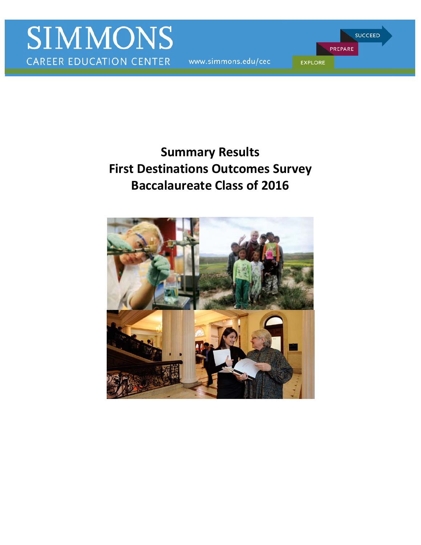www.simmons.edu/cec

PREPARE **EXPLORE** 

**SUCCEED** 

# **First Destinations Outcomes Survey Summary Results Baccalaureate Class of 2016**

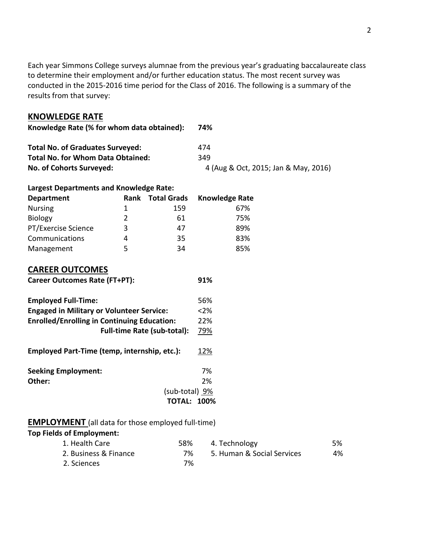conducted in the 2015-2016 time period for the Class of 2016. The following is a summary of the Each year Simmons College surveys alumnae from the previous year's graduating baccalaureate class to determine their employment and/or further education status. The most recent survey was results from that survey:

# **KNOWLEDGE RATE**

| Knowledge Rate (% for whom data obtained): | 74%                                  |
|--------------------------------------------|--------------------------------------|
| <b>Total No. of Graduates Surveyed:</b>    | 474                                  |
| <b>Total No. for Whom Data Obtained:</b>   | 349                                  |
| No. of Cohorts Surveyed:                   | 4 (Aug & Oct, 2015; Jan & May, 2016) |

# **Largest Departments and Knowledge Rate:**

| <b>Department</b>   | <b>Rank</b>   | <b>Total Grads</b> | <b>Knowledge Rate</b> |
|---------------------|---------------|--------------------|-----------------------|
| <b>Nursing</b>      | 1             | 159                | 67%                   |
| <b>Biology</b>      | $\mathcal{P}$ | 61                 | 75%                   |
| PT/Exercise Science | 3             | 47                 | 89%                   |
| Communications      | 4             | 35                 | 83%                   |
| Management          |               | 34                 | 85%                   |

# **CAREER OUTCOMES**

| <b>Career Outcomes Rate (FT+PT):</b>               | 91%    |
|----------------------------------------------------|--------|
| <b>Employed Full-Time:</b>                         | 56%    |
| <b>Engaged in Military or Volunteer Service:</b>   | $<$ 2% |
| <b>Enrolled/Enrolling in Continuing Education:</b> | 22%    |
| <b>Full-time Rate (sub-total):</b>                 | 79%    |

 **Seeking Employment:** 7% **Employed Part-Time (temp, internship, etc.):** 12%

| Other: | 2%                 |
|--------|--------------------|
|        | (sub-total) 9%     |
|        | <b>TOTAL: 100%</b> |

# **EMPLOYMENT** (all data for those employed full-time)

# **Top Fields of Employment:**

| 1. Health Care        | 58% | 4. Technology              | 5% |
|-----------------------|-----|----------------------------|----|
| 2. Business & Finance | 7%  | 5. Human & Social Services | 4% |
| 2. Sciences           | 7%  |                            |    |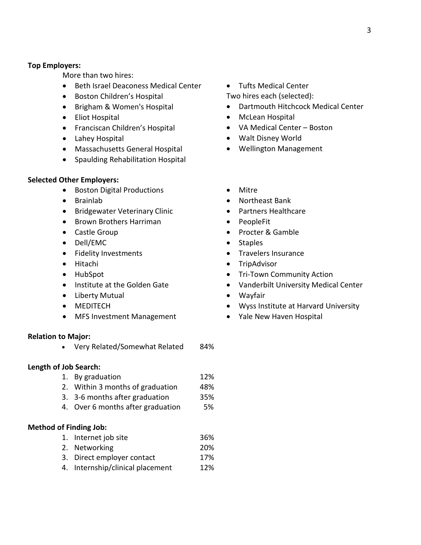#### **Top Employers:**

More than two hires:

- Beth Israel Deaconess Medical Center
- Boston Children's Hospital
- Brigham & Women's Hospital
- Eliot Hospital
- Franciscan Children's Hospital
- Lahey Hospital
- Massachusetts General Hospital
- Spaulding Rehabilitation Hospital

#### **Selected Other Employers:**

- Boston Digital Productions
- Brainlab
- Bridgewater Veterinary Clinic
- Brown Brothers Harriman
- Castle Group
- Dell/EMC
- Fidelity Investments
- Hitachi
- HubSpot
- Institute at the Golden Gate
- Liberty Mutual
- MEDITECH
- MFS Investment Management

#### **Relation to Major:**

• Very Related/Somewhat Related 84%

#### **Length of Job Search:**

- 1. By graduation 12%
- 2. Within 3 months of graduation 48%
- 3. 3-6 months after graduation 35%
- 4. Over 6 months after graduation 5%

#### **Method of Finding Job:**

- 1. Internet job site 36%
- 2. Networking 20%
- 3. Direct employer contact 17%
- 4. Internship/clinical placement 12%

• Tufts Medical Center

Two hires each (selected):

- Dartmouth Hitchcock Medical Center
- McLean Hospital
- VA Medical Center Boston
- Walt Disney World
- Wellington Management
- Mitre
- Northeast Bank
- Partners Healthcare
- PeopleFit
- Procter & Gamble
- Staples
- Travelers Insurance
- TripAdvisor
- Tri-Town Community Action
- Vanderbilt University Medical Center
- Wayfair
- Wyss Institute at Harvard University
- Yale New Haven Hospital